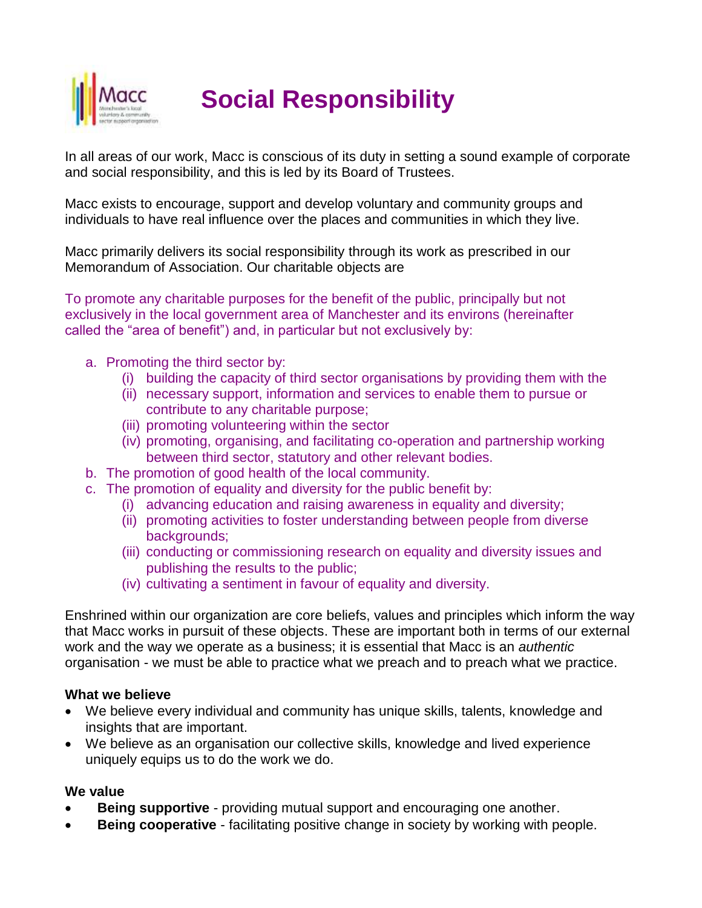

**Social Responsibility**

In all areas of our work, Macc is conscious of its duty in setting a sound example of corporate and social responsibility, and this is led by its Board of Trustees.

Macc exists to encourage, support and develop voluntary and community groups and individuals to have real influence over the places and communities in which they live.

Macc primarily delivers its social responsibility through its work as prescribed in our Memorandum of Association. Our charitable objects are

To promote any charitable purposes for the benefit of the public, principally but not exclusively in the local government area of Manchester and its environs (hereinafter called the "area of benefit") and, in particular but not exclusively by:

- a. Promoting the third sector by:
	- (i) building the capacity of third sector organisations by providing them with the
	- (ii) necessary support, information and services to enable them to pursue or contribute to any charitable purpose;
	- (iii) promoting volunteering within the sector
	- (iv) promoting, organising, and facilitating co-operation and partnership working between third sector, statutory and other relevant bodies.
- b. The promotion of good health of the local community.
- c. The promotion of equality and diversity for the public benefit by:
	- (i) advancing education and raising awareness in equality and diversity;
		- (ii) promoting activities to foster understanding between people from diverse backgrounds;
		- (iii) conducting or commissioning research on equality and diversity issues and publishing the results to the public;
		- (iv) cultivating a sentiment in favour of equality and diversity.

Enshrined within our organization are core beliefs, values and principles which inform the way that Macc works in pursuit of these objects. These are important both in terms of our external work and the way we operate as a business; it is essential that Macc is an *authentic* organisation - we must be able to practice what we preach and to preach what we practice.

#### **What we believe**

- We believe every individual and community has unique skills, talents, knowledge and insights that are important.
- We believe as an organisation our collective skills, knowledge and lived experience uniquely equips us to do the work we do.

#### **We value**

- **Being supportive** providing mutual support and encouraging one another.
- **Being cooperative**  facilitating positive change in society by working with people.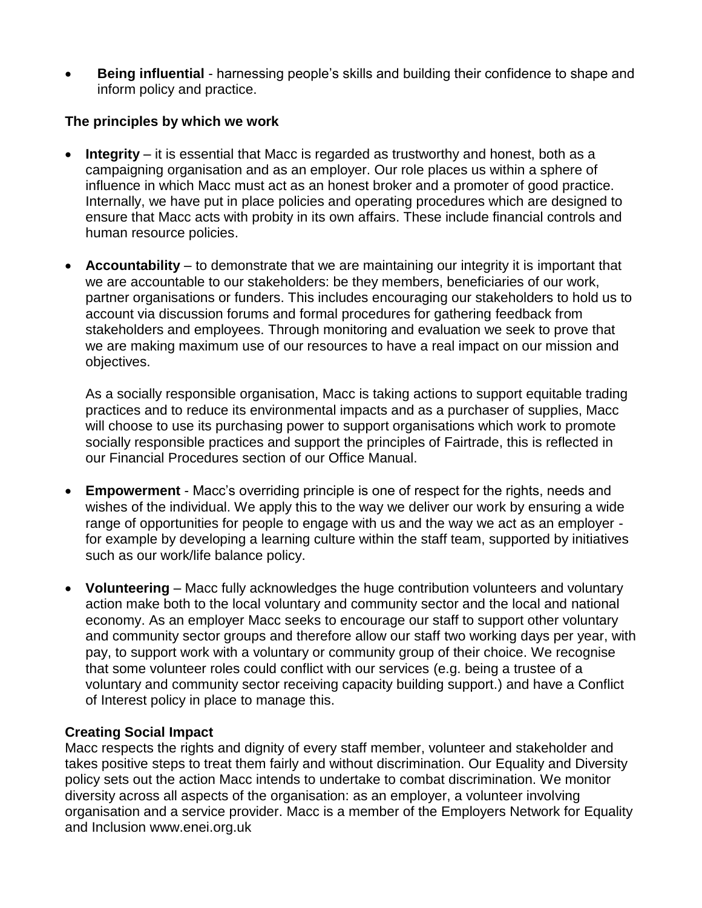**Being influential** - harnessing people's skills and building their confidence to shape and inform policy and practice.

### **The principles by which we work**

- **Integrity**  it is essential that Macc is regarded as trustworthy and honest, both as a campaigning organisation and as an employer. Our role places us within a sphere of influence in which Macc must act as an honest broker and a promoter of good practice. Internally, we have put in place policies and operating procedures which are designed to ensure that Macc acts with probity in its own affairs. These include financial controls and human resource policies.
- **Accountability** to demonstrate that we are maintaining our integrity it is important that we are accountable to our stakeholders: be they members, beneficiaries of our work, partner organisations or funders. This includes encouraging our stakeholders to hold us to account via discussion forums and formal procedures for gathering feedback from stakeholders and employees. Through monitoring and evaluation we seek to prove that we are making maximum use of our resources to have a real impact on our mission and objectives.

As a socially responsible organisation, Macc is taking actions to support equitable trading practices and to reduce its environmental impacts and as a purchaser of supplies, Macc will choose to use its purchasing power to support organisations which work to promote socially responsible practices and support the principles of Fairtrade, this is reflected in our Financial Procedures section of our Office Manual.

- **Empowerment** Macc's overriding principle is one of respect for the rights, needs and wishes of the individual. We apply this to the way we deliver our work by ensuring a wide range of opportunities for people to engage with us and the way we act as an employer for example by developing a learning culture within the staff team, supported by initiatives such as our work/life balance policy.
- **Volunteering** Macc fully acknowledges the huge contribution volunteers and voluntary action make both to the local voluntary and community sector and the local and national economy. As an employer Macc seeks to encourage our staff to support other voluntary and community sector groups and therefore allow our staff two working days per year, with pay, to support work with a voluntary or community group of their choice. We recognise that some volunteer roles could conflict with our services (e.g. being a trustee of a voluntary and community sector receiving capacity building support.) and have a Conflict of Interest policy in place to manage this.

#### **Creating Social Impact**

Macc respects the rights and dignity of every staff member, volunteer and stakeholder and takes positive steps to treat them fairly and without discrimination. Our Equality and Diversity policy sets out the action Macc intends to undertake to combat discrimination. We monitor diversity across all aspects of the organisation: as an employer, a volunteer involving organisation and a service provider. Macc is a member of the Employers Network for Equality and Inclusion www.enei.org.uk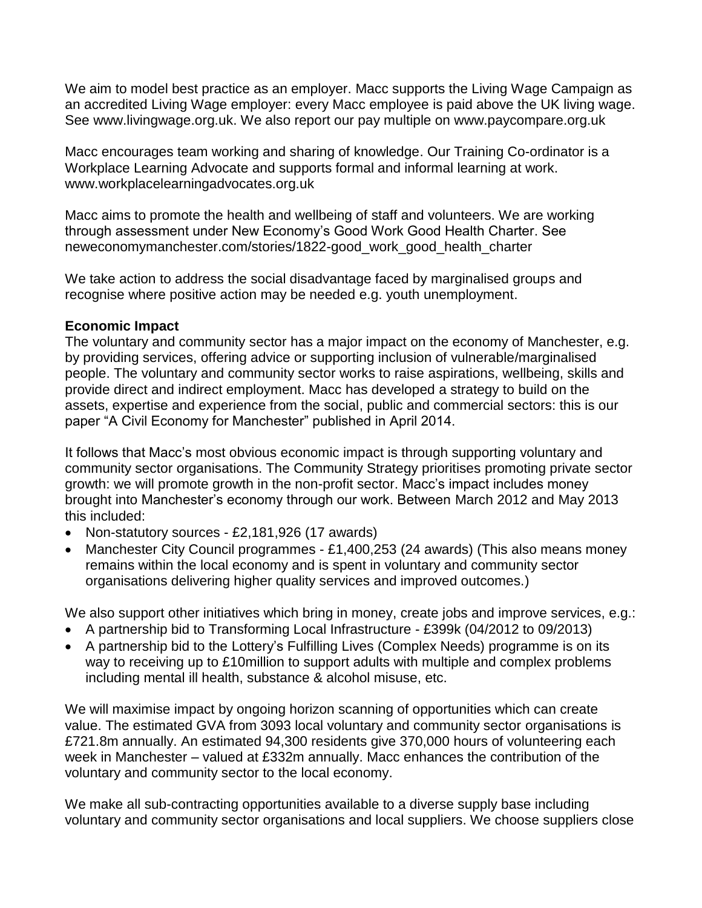We aim to model best practice as an employer. Macc supports the Living Wage Campaign as an accredited Living Wage employer: every Macc employee is paid above the UK living wage. See www.livingwage.org.uk. We also report our pay multiple on www.paycompare.org.uk

Macc encourages team working and sharing of knowledge. Our Training Co-ordinator is a Workplace Learning Advocate and supports formal and informal learning at work. www.workplacelearningadvocates.org.uk

Macc aims to promote the health and wellbeing of staff and volunteers. We are working through assessment under New Economy's Good Work Good Health Charter. See neweconomymanchester.com/stories/1822-good\_work\_good\_health\_charter

We take action to address the social disadvantage faced by marginalised groups and recognise where positive action may be needed e.g. youth unemployment.

#### **Economic Impact**

The voluntary and community sector has a major impact on the economy of Manchester, e.g. by providing services, offering advice or supporting inclusion of vulnerable/marginalised people. The voluntary and community sector works to raise aspirations, wellbeing, skills and provide direct and indirect employment. Macc has developed a strategy to build on the assets, expertise and experience from the social, public and commercial sectors: this is our paper "A Civil Economy for Manchester" published in April 2014.

It follows that Macc's most obvious economic impact is through supporting voluntary and community sector organisations. The Community Strategy prioritises promoting private sector growth: we will promote growth in the non-profit sector. Macc's impact includes money brought into Manchester's economy through our work. Between March 2012 and May 2013 this included:

- Non-statutory sources £2,181,926 (17 awards)
- Manchester City Council programmes £1,400,253 (24 awards) (This also means money remains within the local economy and is spent in voluntary and community sector organisations delivering higher quality services and improved outcomes.)

We also support other initiatives which bring in money, create jobs and improve services, e.g.:

- A partnership bid to Transforming Local Infrastructure £399k (04/2012 to 09/2013)
- A partnership bid to the Lottery's Fulfilling Lives (Complex Needs) programme is on its way to receiving up to £10million to support adults with multiple and complex problems including mental ill health, substance & alcohol misuse, etc.

We will maximise impact by ongoing horizon scanning of opportunities which can create value. The estimated GVA from 3093 local voluntary and community sector organisations is £721.8m annually. An estimated 94,300 residents give 370,000 hours of volunteering each week in Manchester – valued at £332m annually. Macc enhances the contribution of the voluntary and community sector to the local economy.

We make all sub-contracting opportunities available to a diverse supply base including voluntary and community sector organisations and local suppliers. We choose suppliers close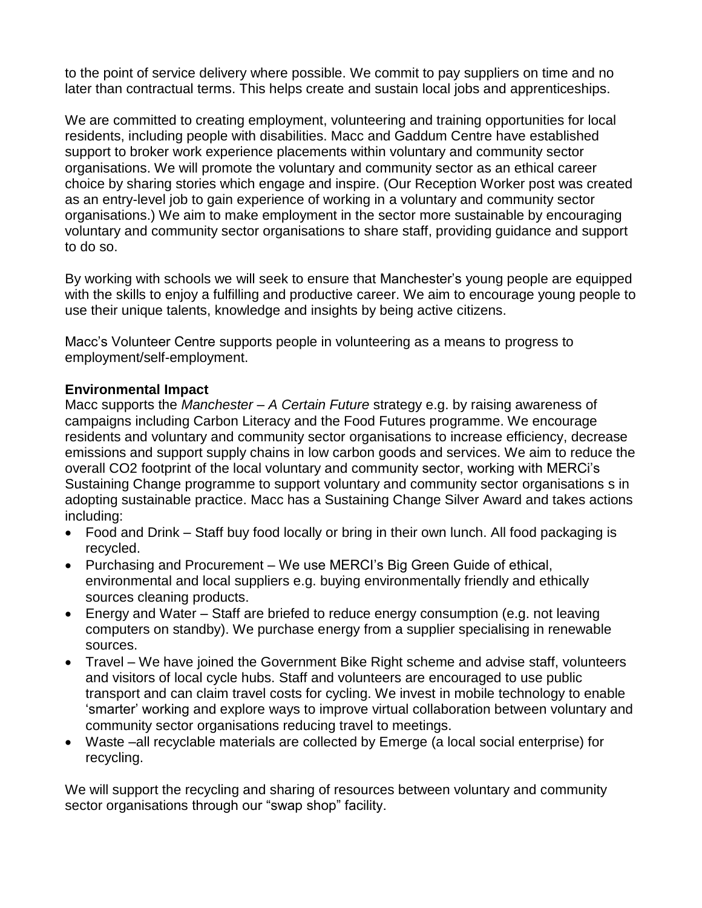to the point of service delivery where possible. We commit to pay suppliers on time and no later than contractual terms. This helps create and sustain local jobs and apprenticeships.

We are committed to creating employment, volunteering and training opportunities for local residents, including people with disabilities. Macc and Gaddum Centre have established support to broker work experience placements within voluntary and community sector organisations. We will promote the voluntary and community sector as an ethical career choice by sharing stories which engage and inspire. (Our Reception Worker post was created as an entry-level job to gain experience of working in a voluntary and community sector organisations.) We aim to make employment in the sector more sustainable by encouraging voluntary and community sector organisations to share staff, providing guidance and support to do so.

By working with schools we will seek to ensure that Manchester's young people are equipped with the skills to enjoy a fulfilling and productive career. We aim to encourage young people to use their unique talents, knowledge and insights by being active citizens.

Macc's Volunteer Centre supports people in volunteering as a means to progress to employment/self-employment.

#### **Environmental Impact**

Macc supports the *Manchester – A Certain Future* strategy e.g. by raising awareness of campaigns including Carbon Literacy and the Food Futures programme. We encourage residents and voluntary and community sector organisations to increase efficiency, decrease emissions and support supply chains in low carbon goods and services. We aim to reduce the overall CO2 footprint of the local voluntary and community sector, working with MERCi's Sustaining Change programme to support voluntary and community sector organisations s in adopting sustainable practice. Macc has a Sustaining Change Silver Award and takes actions including:

- Food and Drink Staff buy food locally or bring in their own lunch. All food packaging is recycled.
- Purchasing and Procurement We use MERCI's Big Green Guide of ethical, environmental and local suppliers e.g. buying environmentally friendly and ethically sources cleaning products.
- Energy and Water Staff are briefed to reduce energy consumption (e.g. not leaving computers on standby). We purchase energy from a supplier specialising in renewable sources.
- Travel We have joined the Government Bike Right scheme and advise staff, volunteers and visitors of local cycle hubs. Staff and volunteers are encouraged to use public transport and can claim travel costs for cycling. We invest in mobile technology to enable 'smarter' working and explore ways to improve virtual collaboration between voluntary and community sector organisations reducing travel to meetings.
- Waste –all recyclable materials are collected by Emerge (a local social enterprise) for recycling.

We will support the recycling and sharing of resources between voluntary and community sector organisations through our "swap shop" facility.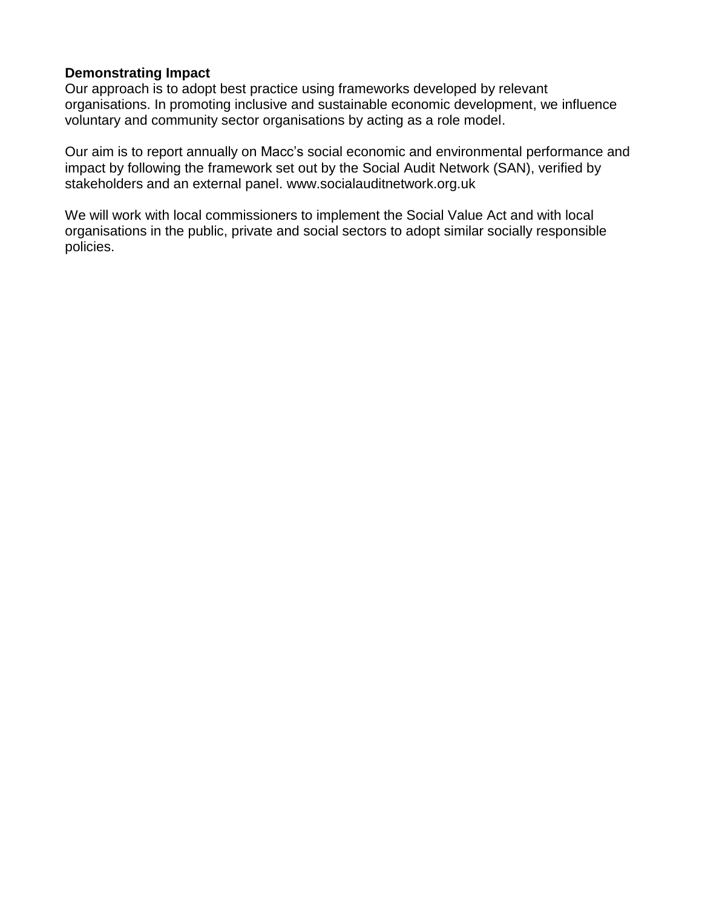#### **Demonstrating Impact**

Our approach is to adopt best practice using frameworks developed by relevant organisations. In promoting inclusive and sustainable economic development, we influence voluntary and community sector organisations by acting as a role model.

Our aim is to report annually on Macc's social economic and environmental performance and impact by following the framework set out by the Social Audit Network (SAN), verified by stakeholders and an external panel. www.socialauditnetwork.org.uk

We will work with local commissioners to implement the Social Value Act and with local organisations in the public, private and social sectors to adopt similar socially responsible policies.